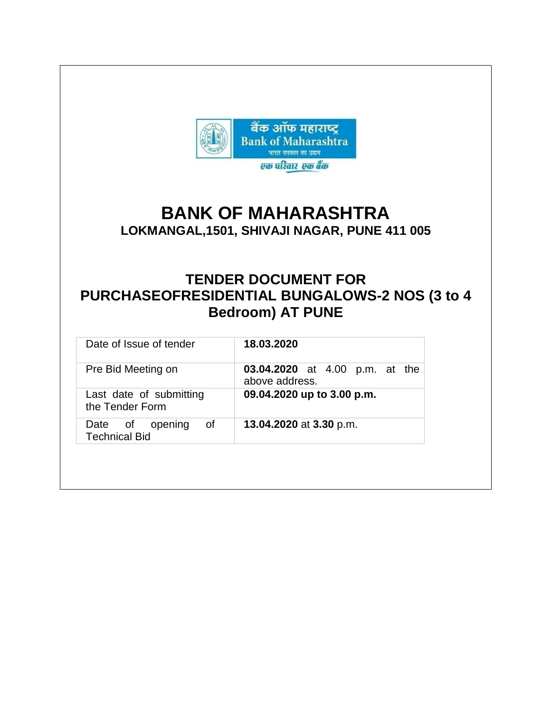

# **BANK OF MAHARASHTRA**

**LOKMANGAL,1501, SHIVAJI NAGAR, PUNE 411 005**

# **TENDER DOCUMENT FOR PURCHASEOFRESIDENTIAL BUNGALOWS-2 NOS (3 to 4 Bedroom) AT PUNE**

| Date of Issue of tender                       | 18.03.2020                                              |
|-----------------------------------------------|---------------------------------------------------------|
| Pre Bid Meeting on                            | <b>03.04.2020</b> at 4.00 p.m. at the<br>above address. |
| Last date of submitting<br>the Tender Form    | 09.04.2020 up to 3.00 p.m.                              |
| Date of opening<br>0f<br><b>Technical Bid</b> | 13.04.2020 at 3.30 p.m.                                 |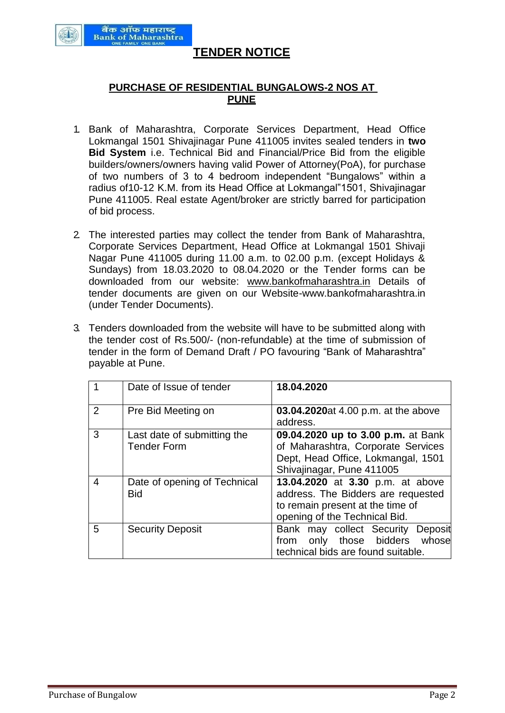

# **TENDER NOTICE**

# **PURCHASE OF RESIDENTIAL BUNGALOWS-2 NOS AT PUNE**

- 1. Bank of Maharashtra, Corporate Services Department, Head Office Lokmangal 1501 Shivajinagar Pune 411005 invites sealed tenders in **two Bid System** i.e. Technical Bid and Financial/Price Bid from the eligible builders/owners/owners having valid Power of Attorney(PoA), for purchase of two numbers of 3 to 4 bedroom independent "Bungalows" within a radius of10-12 K.M. from its Head Office at Lokmangal"1501, Shivajinagar Pune 411005. Real estate Agent/broker are strictly barred for participation of bid process.
- 2. The interested parties may collect the tender from Bank of Maharashtra, Corporate Services Department, Head Office at Lokmangal 1501 Shivaji Nagar Pune 411005 during 11.00 a.m. to 02.00 p.m. (except Holidays & Sundays) from 18.03.2020 to 08.04.2020 or the Tender forms can be downloaded from our website: [www.bankofmaharashtra.in](http://www.bankofmaharashtra.in/) Details of tender documents are given on our Website[-www.bankofmaharashtra.in](http://www.bankofmaharashtra.in/)  (under Tender Documents).
- 3. Tenders downloaded from the website will have to be submitted along with the tender cost of Rs.500/- (non-refundable) at the time of submission of tender in the form of Demand Draft / PO favouring "Bank of Maharashtra" payable at Pune.

|   | Date of Issue of tender                           | 18.04.2020                                                                                                                                  |  |
|---|---------------------------------------------------|---------------------------------------------------------------------------------------------------------------------------------------------|--|
| 2 | Pre Bid Meeting on                                | 03.04.2020at 4.00 p.m. at the above<br>address.                                                                                             |  |
| 3 | Last date of submitting the<br><b>Tender Form</b> | 09.04.2020 up to 3.00 p.m. at Bank<br>of Maharashtra, Corporate Services<br>Dept, Head Office, Lokmangal, 1501<br>Shivajinagar, Pune 411005 |  |
| 4 | Date of opening of Technical<br><b>Bid</b>        | 13.04.2020 at 3.30 p.m. at above<br>address. The Bidders are requested<br>to remain present at the time of<br>opening of the Technical Bid. |  |
| 5 | <b>Security Deposit</b>                           | Bank may collect Security<br>Deposit<br>only those bidders whose<br>from<br>technical bids are found suitable.                              |  |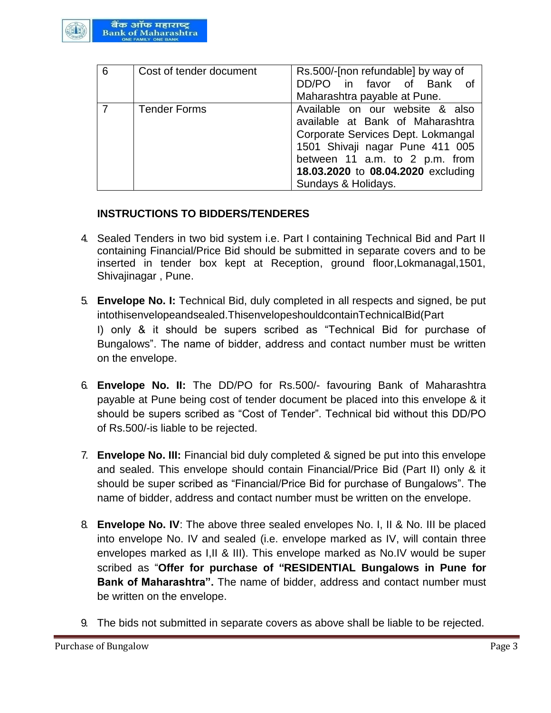

| 6 | Cost of tender document | Rs.500/-[non refundable] by way of<br>DD/PO in favor of Bank of<br>Maharashtra payable at Pune.                                                                                                                                             |
|---|-------------------------|---------------------------------------------------------------------------------------------------------------------------------------------------------------------------------------------------------------------------------------------|
|   | <b>Tender Forms</b>     | Available on our website & also<br>available at Bank of Maharashtra<br>Corporate Services Dept. Lokmangal<br>1501 Shivaji nagar Pune 411 005<br>between 11 a.m. to 2 p.m. from<br>18.03.2020 to 08.04.2020 excluding<br>Sundays & Holidays. |

# **INSTRUCTIONS TO BIDDERS/TENDERES**

- 4. Sealed Tenders in two bid system i.e. Part I containing Technical Bid and Part II containing Financial/Price Bid should be submitted in separate covers and to be inserted in tender box kept at Reception, ground floor,Lokmanagal,1501, Shivajinagar , Pune.
- 5. **Envelope No. I:** Technical Bid, duly completed in all respects and signed, be put intothisenvelopeandsealed.ThisenvelopeshouldcontainTechnicalBid(Part I) only & it should be supers scribed as "Technical Bid for purchase of Bungalows". The name of bidder, address and contact number must be written on the envelope.
- 6. **Envelope No. II:** The DD/PO for Rs.500/- favouring Bank of Maharashtra payable at Pune being cost of tender document be placed into this envelope & it should be supers scribed as "Cost of Tender". Technical bid without this DD/PO of Rs.500/-is liable to be rejected.
- 7. **Envelope No. III:** Financial bid duly completed & signed be put into this envelope and sealed. This envelope should contain Financial/Price Bid (Part II) only & it should be super scribed as "Financial/Price Bid for purchase of Bungalows". The name of bidder, address and contact number must be written on the envelope.
- 8. **Envelope No. IV**: The above three sealed envelopes No. I, II & No. III be placed into envelope No. IV and sealed (i.e. envelope marked as IV, will contain three envelopes marked as I,II & III). This envelope marked as No.IV would be super scribed as "**Offer for purchase of "RESIDENTIAL Bungalows in Pune for Bank of Maharashtra".** The name of bidder, address and contact number must be written on the envelope.
- 9. The bids not submitted in separate covers as above shall be liable to be rejected.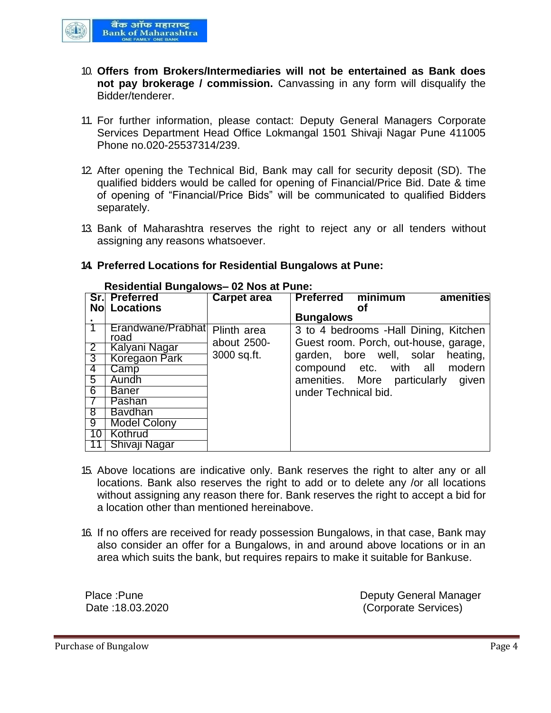

- 10. **Offers from Brokers/Intermediaries will not be entertained as Bank does not pay brokerage / commission.** Canvassing in any form will disqualify the Bidder/tenderer.
- 11. For further information, please contact: Deputy General Managers Corporate Services Department Head Office Lokmangal 1501 Shivaji Nagar Pune 411005 Phone no.020-25537314/239.
- 12. After opening the Technical Bid, Bank may call for security deposit (SD). The qualified bidders would be called for opening of Financial/Price Bid. Date & time of opening of "Financial/Price Bids" will be communicated to qualified Bidders separately.
- 13. Bank of Maharashtra reserves the right to reject any or all tenders without assigning any reasons whatsoever.

|                | Sr. Preferred        | Carpet area | <b>Preferred</b>     | minimum                                | amenities |
|----------------|----------------------|-------------|----------------------|----------------------------------------|-----------|
|                | <b>No Locations</b>  |             |                      | Οt                                     |           |
|                |                      |             | <b>Bungalows</b>     |                                        |           |
|                | Erandwane/Prabhat    | Plinth area |                      | 3 to 4 bedrooms - Hall Dining, Kitchen |           |
|                | road                 | about 2500- |                      | Guest room. Porch, out-house, garage,  |           |
| $\overline{2}$ | Kalyani Nagar        |             |                      |                                        |           |
| 3              | <b>Koregaon Park</b> | 3000 sq.ft. |                      | garden, bore well, solar               | heating,  |
| 4              | Camp                 |             |                      | compound etc. with all                 | modern    |
| 5              | Aundh                |             |                      | amenities. More particularly given     |           |
| 6              | <b>Baner</b>         |             | under Technical bid. |                                        |           |
|                | Pashan               |             |                      |                                        |           |
| 8              | <b>Bavdhan</b>       |             |                      |                                        |           |
| 9              | <b>Model Colony</b>  |             |                      |                                        |           |
| 10             | Kothrud              |             |                      |                                        |           |
|                | Shivaji Nagar        |             |                      |                                        |           |

#### **Residential Bungalows– 02 Nos at Pune:**

**14. Preferred Locations for Residential Bungalows at Pune:**

- 15. Above locations are indicative only. Bank reserves the right to alter any or all locations. Bank also reserves the right to add or to delete any /or all locations without assigning any reason there for. Bank reserves the right to accept a bid for a location other than mentioned hereinabove.
- 16. If no offers are received for ready possession Bungalows, in that case, Bank may also consider an offer for a Bungalows, in and around above locations or in an area which suits the bank, but requires repairs to make it suitable for Bankuse.

Place :Pune **Deputy General Manager** Date :18.03.2020 (Corporate Services)

Purchase of Bungalow **Page 4**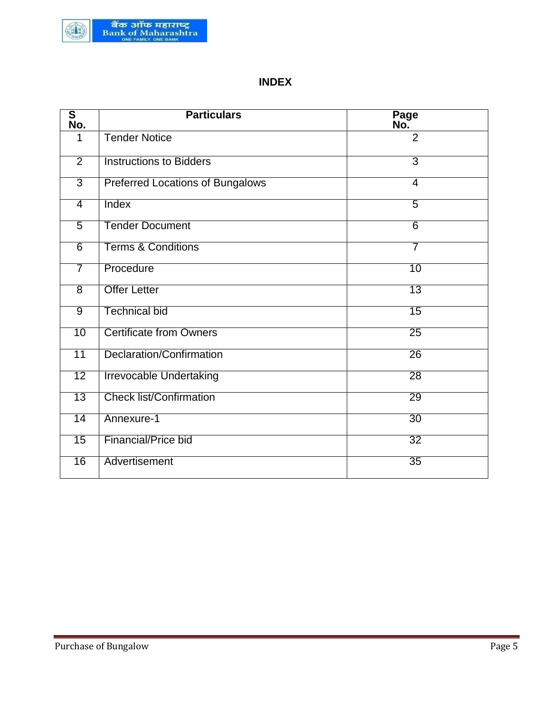

# **INDEX**

| $\overline{\mathbf{s}}$<br>No. | <b>Particulars</b>                      | Page<br>No.     |
|--------------------------------|-----------------------------------------|-----------------|
| 1                              | <b>Tender Notice</b>                    | $\overline{2}$  |
| $\overline{2}$                 | <b>Instructions to Bidders</b>          | 3               |
| $\overline{3}$                 | <b>Preferred Locations of Bungalows</b> | $\overline{4}$  |
| $\overline{4}$                 | Index                                   | $\overline{5}$  |
| $\overline{5}$                 | <b>Tender Document</b>                  | $6 \overline{}$ |
| $\overline{6}$                 | <b>Terms &amp; Conditions</b>           | 7               |
| 7                              | Procedure                               | 10              |
| $\overline{8}$                 | <b>Offer Letter</b>                     | 13              |
| 9                              | <b>Technical bid</b>                    | 15              |
| 10                             | <b>Certificate from Owners</b>          | $\overline{25}$ |
| 11                             | Declaration/Confirmation                | $\overline{26}$ |
| 12                             | <b>Irrevocable Undertaking</b>          | 28              |
| $\overline{13}$                | <b>Check list/Confirmation</b>          | 29              |
| 14                             | Annexure-1                              | $\overline{30}$ |
| 15                             | <b>Financial/Price bid</b>              | $\overline{32}$ |
| 16                             | Advertisement                           | 35              |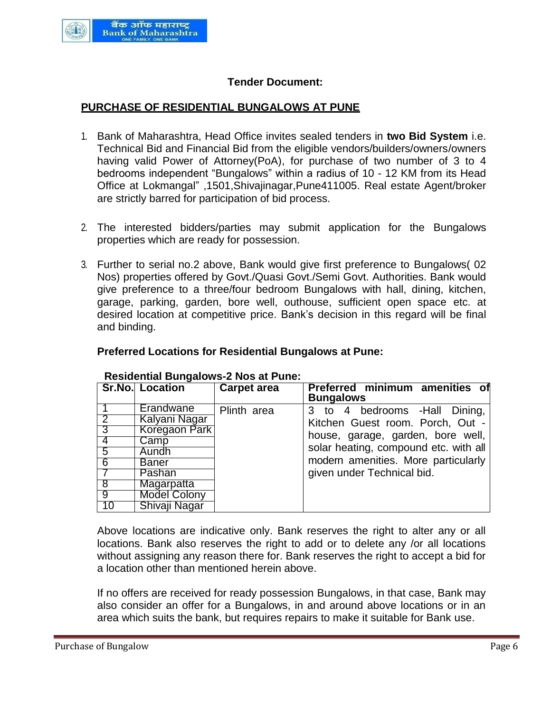

## **Tender Document:**

#### **PURCHASE OF RESIDENTIAL BUNGALOWS AT PUNE**

- 1. Bank of Maharashtra, Head Office invites sealed tenders in **two Bid System** i.e. Technical Bid and Financial Bid from the eligible vendors/builders/owners/owners having valid Power of Attorney(PoA), for purchase of two number of 3 to 4 bedrooms independent "Bungalows" within a radius of 10 - 12 KM from its Head Office at Lokmangal" ,1501,Shivajinagar,Pune411005. Real estate Agent/broker are strictly barred for participation of bid process.
- 2. The interested bidders/parties may submit application for the Bungalows properties which are ready for possession.
- 3. Further to serial no.2 above, Bank would give first preference to Bungalows( 02 Nos) properties offered by Govt./Quasi Govt./Semi Govt. Authorities. Bank would give preference to a three/four bedroom Bungalows with hall, dining, kitchen, garage, parking, garden, bore well, outhouse, sufficient open space etc. at desired location at competitive price. Bank's decision in this regard will be final and binding.

#### **Preferred Locations for Residential Bungalows at Pune:**

|                | <b>Sr.No. Location</b> | <b>Carpet area</b> | <b>Preferred minimum amenities of</b><br><b>Bungalows</b> |
|----------------|------------------------|--------------------|-----------------------------------------------------------|
|                | Erandwane              | Plinth area        | 3 to 4 bedrooms - Hall Dining,                            |
| $\mathsf{L}2$  | Kalyani Nagar          |                    | Kitchen Guest room. Porch, Out -                          |
| $\overline{3}$ | Koregaon Park          |                    | house, garage, garden, bore well,                         |
| $\overline{4}$ | Camp                   |                    |                                                           |
| 5              | <b>Aundh</b>           |                    | solar heating, compound etc. with all                     |
| ි 6            | <b>Baner</b>           |                    | modern amenities. More particularly                       |
|                | Pashan                 |                    | given under Technical bid.                                |
| ි 8            | Magarpatta             |                    |                                                           |
| ල (            | <b>Model Colony</b>    |                    |                                                           |
| 10             | Shivaji Nagar          |                    |                                                           |

#### **Residential Bungalows-2 Nos at Pune:**

Above locations are indicative only. Bank reserves the right to alter any or all locations. Bank also reserves the right to add or to delete any /or all locations without assigning any reason there for. Bank reserves the right to accept a bid for a location other than mentioned herein above.

If no offers are received for ready possession Bungalows, in that case, Bank may also consider an offer for a Bungalows, in and around above locations or in an area which suits the bank, but requires repairs to make it suitable for Bank use.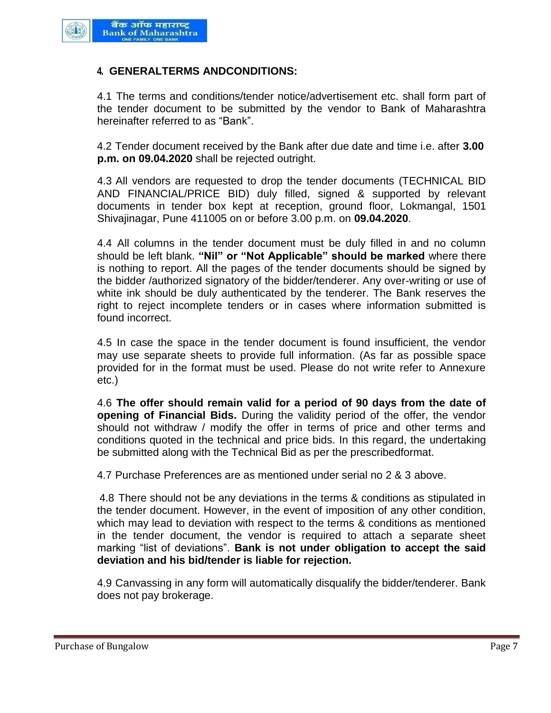

#### **4. GENERALTERMS ANDCONDITIONS:**

4.1 The terms and conditions/tender notice/advertisement etc. shall form part of the tender document to be submitted by the vendor to Bank of Maharashtra hereinafter referred to as "Bank".

4.2 Tender document received by the Bank after due date and time i.e. after **3.00 p.m. on 09.04.2020** shall be rejected outright.

4.3 All vendors are requested to drop the tender documents (TECHNICAL BID AND FINANCIAL/PRICE BID) duly filled, signed & supported by relevant documents in tender box kept at reception, ground floor, Lokmangal, 1501 Shivajinagar, Pune 411005 on or before 3.00 p.m. on **09.04.2020**.

4.4 All columns in the tender document must be duly filled in and no column should be left blank. **"Nil" or "Not Applicable" should be marked** where there is nothing to report. All the pages of the tender documents should be signed by the bidder /authorized signatory of the bidder/tenderer. Any over-writing or use of white ink should be duly authenticated by the tenderer. The Bank reserves the right to reject incomplete tenders or in cases where information submitted is found incorrect.

4.5 In case the space in the tender document is found insufficient, the vendor may use separate sheets to provide full information. (As far as possible space provided for in the format must be used. Please do not write refer to Annexure etc.)

4.6 **The offer should remain valid for a period of 90 days from the date of opening of Financial Bids.** During the validity period of the offer, the vendor should not withdraw / modify the offer in terms of price and other terms and conditions quoted in the technical and price bids. In this regard, the undertaking be submitted along with the Technical Bid as per the prescribedformat.

4.7 Purchase Preferences are as mentioned under serial no 2 & 3 above.

4.8 There should not be any deviations in the terms & conditions as stipulated in the tender document. However, in the event of imposition of any other condition, which may lead to deviation with respect to the terms & conditions as mentioned in the tender document, the vendor is required to attach a separate sheet marking "list of deviations". **Bank is not under obligation to accept the said deviation and his bid/tender is liable for rejection.**

4.9 Canvassing in any form will automatically disqualify the bidder/tenderer. Bank does not pay brokerage.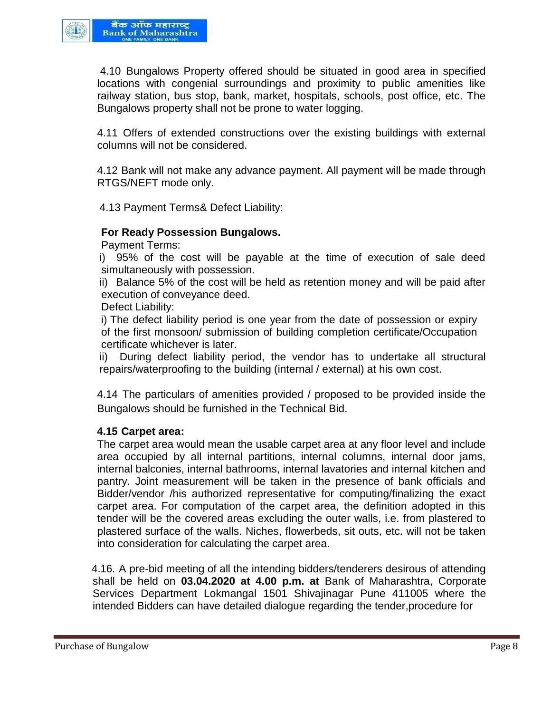

4.10 Bungalows Property offered should be situated in good area in specified locations with congenial surroundings and proximity to public amenities like railway station, bus stop, bank, market, hospitals, schools, post office, etc. The Bungalows property shall not be prone to water logging.

4.11 Offers of extended constructions over the existing buildings with external columns will not be considered.

4.12 Bank will not make any advance payment. All payment will be made through RTGS/NEFT mode only.

4.13 Payment Terms& Defect Liability:

#### **For Ready Possession Bungalows.**

Payment Terms:

i) 95% of the cost will be payable at the time of execution of sale deed simultaneously with possession.

ii) Balance 5% of the cost will be held as retention money and will be paid after execution of conveyance deed.

Defect Liability:

i) The defect liability period is one year from the date of possession or expiry of the first monsoon/ submission of building completion certificate/Occupation certificate whichever is later.

ii) During defect liability period, the vendor has to undertake all structural repairs/waterproofing to the building (internal / external) at his own cost.

4.14 The particulars of amenities provided / proposed to be provided inside the Bungalows should be furnished in the Technical Bid.

#### **4.15 Carpet area:**

The carpet area would mean the usable carpet area at any floor level and include area occupied by all internal partitions, internal columns, internal door jams, internal balconies, internal bathrooms, internal lavatories and internal kitchen and pantry. Joint measurement will be taken in the presence of bank officials and Bidder/vendor /his authorized representative for computing/finalizing the exact carpet area. For computation of the carpet area, the definition adopted in this tender will be the covered areas excluding the outer walls, i.e. from plastered to plastered surface of the walls. Niches, flowerbeds, sit outs, etc. will not be taken into consideration for calculating the carpet area.

4.16. A pre-bid meeting of all the intending bidders/tenderers desirous of attending shall be held on **03.04.2020 at 4.00 p.m. at** Bank of Maharashtra, Corporate Services Department Lokmangal 1501 Shivajinagar Pune 411005 where the intended Bidders can have detailed dialogue regarding the tender,procedure for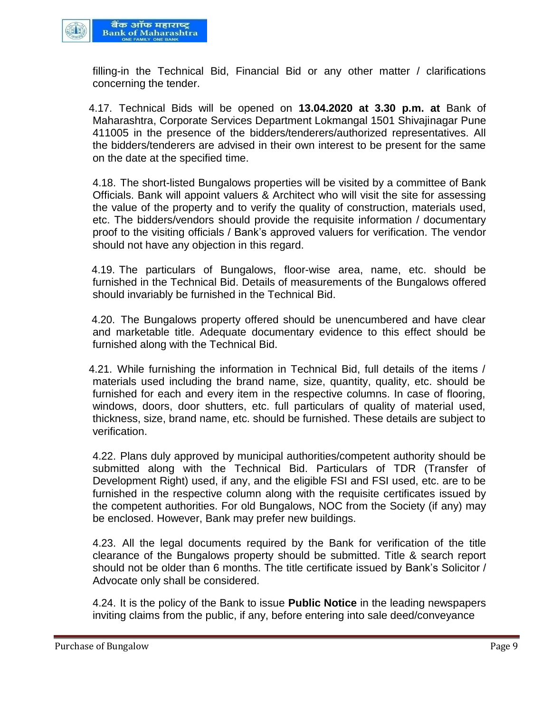

filling-in the Technical Bid, Financial Bid or any other matter / clarifications concerning the tender.

4.17. Technical Bids will be opened on **13.04.2020 at 3.30 p.m. at** Bank of Maharashtra, Corporate Services Department Lokmangal 1501 Shivajinagar Pune 411005 in the presence of the bidders/tenderers/authorized representatives. All the bidders/tenderers are advised in their own interest to be present for the same on the date at the specified time.

4.18. The short-listed Bungalows properties will be visited by a committee of Bank Officials. Bank will appoint valuers & Architect who will visit the site for assessing the value of the property and to verify the quality of construction, materials used, etc. The bidders/vendors should provide the requisite information / documentary proof to the visiting officials / Bank's approved valuers for verification. The vendor should not have any objection in this regard.

4.19. The particulars of Bungalows, floor-wise area, name, etc. should be furnished in the Technical Bid. Details of measurements of the Bungalows offered should invariably be furnished in the Technical Bid.

4.20. The Bungalows property offered should be unencumbered and have clear and marketable title. Adequate documentary evidence to this effect should be furnished along with the Technical Bid.

4.21. While furnishing the information in Technical Bid, full details of the items / materials used including the brand name, size, quantity, quality, etc. should be furnished for each and every item in the respective columns. In case of flooring, windows, doors, door shutters, etc. full particulars of quality of material used, thickness, size, brand name, etc. should be furnished. These details are subject to verification.

4.22. Plans duly approved by municipal authorities/competent authority should be submitted along with the Technical Bid. Particulars of TDR (Transfer of Development Right) used, if any, and the eligible FSI and FSI used, etc. are to be furnished in the respective column along with the requisite certificates issued by the competent authorities. For old Bungalows, NOC from the Society (if any) may be enclosed. However, Bank may prefer new buildings.

4.23. All the legal documents required by the Bank for verification of the title clearance of the Bungalows property should be submitted. Title & search report should not be older than 6 months. The title certificate issued by Bank's Solicitor / Advocate only shall be considered.

4.24. It is the policy of the Bank to issue **Public Notice** in the leading newspapers inviting claims from the public, if any, before entering into sale deed/conveyance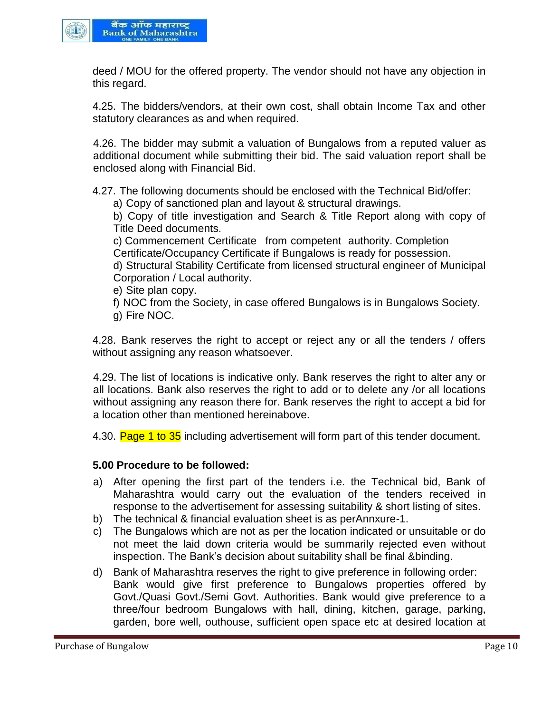

deed / MOU for the offered property. The vendor should not have any objection in this regard.

4.25. The bidders/vendors, at their own cost, shall obtain Income Tax and other statutory clearances as and when required.

4.26. The bidder may submit a valuation of Bungalows from a reputed valuer as additional document while submitting their bid. The said valuation report shall be enclosed along with Financial Bid.

4.27. The following documents should be enclosed with the Technical Bid/offer:

a) Copy of sanctioned plan and layout & structural drawings.

b) Copy of title investigation and Search & Title Report along with copy of Title Deed documents.

c) Commencement Certificate from competent authority. Completion Certificate/Occupancy Certificate if Bungalows is ready for possession.

d) Structural Stability Certificate from licensed structural engineer of Municipal Corporation / Local authority.

e) Site plan copy.

f) NOC from the Society, in case offered Bungalows is in Bungalows Society.

g) Fire NOC.

4.28. Bank reserves the right to accept or reject any or all the tenders / offers without assigning any reason whatsoever.

4.29. The list of locations is indicative only. Bank reserves the right to alter any or all locations. Bank also reserves the right to add or to delete any /or all locations without assigning any reason there for. Bank reserves the right to accept a bid for a location other than mentioned hereinabove.

4.30. Page 1 to 35 including advertisement will form part of this tender document.

#### **5.00 Procedure to be followed:**

- a) After opening the first part of the tenders i.e. the Technical bid, Bank of Maharashtra would carry out the evaluation of the tenders received in response to the advertisement for assessing suitability & short listing of sites.
- b) The technical & financial evaluation sheet is as perAnnxure-1.
- c) The Bungalows which are not as per the location indicated or unsuitable or do not meet the laid down criteria would be summarily rejected even without inspection. The Bank's decision about suitability shall be final &binding.
- d) Bank of Maharashtra reserves the right to give preference in following order: Bank would give first preference to Bungalows properties offered by Govt./Quasi Govt./Semi Govt. Authorities. Bank would give preference to a three/four bedroom Bungalows with hall, dining, kitchen, garage, parking, garden, bore well, outhouse, sufficient open space etc at desired location at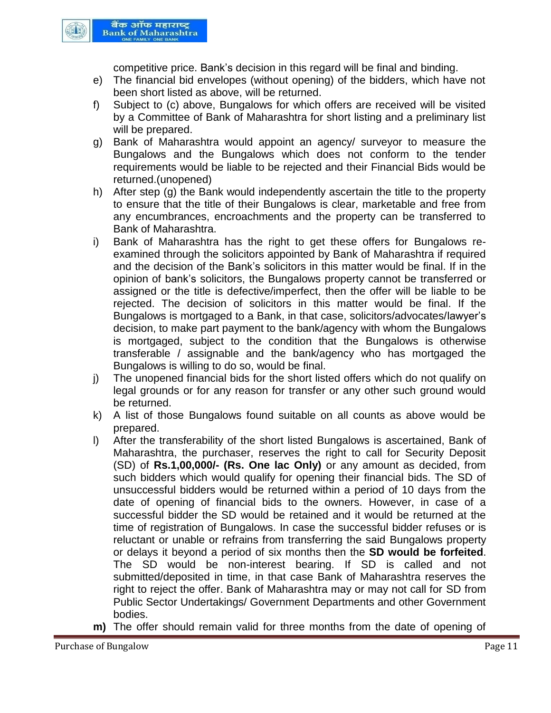

competitive price. Bank's decision in this regard will be final and binding.

- e) The financial bid envelopes (without opening) of the bidders, which have not been short listed as above, will be returned.
- f) Subject to (c) above, Bungalows for which offers are received will be visited by a Committee of Bank of Maharashtra for short listing and a preliminary list will be prepared.
- g) Bank of Maharashtra would appoint an agency/ surveyor to measure the Bungalows and the Bungalows which does not conform to the tender requirements would be liable to be rejected and their Financial Bids would be returned.(unopened)
- h) After step (g) the Bank would independently ascertain the title to the property to ensure that the title of their Bungalows is clear, marketable and free from any encumbrances, encroachments and the property can be transferred to Bank of Maharashtra.
- i) Bank of Maharashtra has the right to get these offers for Bungalows reexamined through the solicitors appointed by Bank of Maharashtra if required and the decision of the Bank's solicitors in this matter would be final. If in the opinion of bank's solicitors, the Bungalows property cannot be transferred or assigned or the title is defective/imperfect, then the offer will be liable to be rejected. The decision of solicitors in this matter would be final. If the Bungalows is mortgaged to a Bank, in that case, solicitors/advocates/lawyer's decision, to make part payment to the bank/agency with whom the Bungalows is mortgaged, subject to the condition that the Bungalows is otherwise transferable / assignable and the bank/agency who has mortgaged the Bungalows is willing to do so, would be final.
- j) The unopened financial bids for the short listed offers which do not qualify on legal grounds or for any reason for transfer or any other such ground would be returned.
- k) A list of those Bungalows found suitable on all counts as above would be prepared.
- l) After the transferability of the short listed Bungalows is ascertained, Bank of Maharashtra, the purchaser, reserves the right to call for Security Deposit (SD) of **Rs.1,00,000/- (Rs. One lac Only)** or any amount as decided, from such bidders which would qualify for opening their financial bids. The SD of unsuccessful bidders would be returned within a period of 10 days from the date of opening of financial bids to the owners. However, in case of a successful bidder the SD would be retained and it would be returned at the time of registration of Bungalows. In case the successful bidder refuses or is reluctant or unable or refrains from transferring the said Bungalows property or delays it beyond a period of six months then the **SD would be forfeited**. The SD would be non-interest bearing. If SD is called and not submitted/deposited in time, in that case Bank of Maharashtra reserves the right to reject the offer. Bank of Maharashtra may or may not call for SD from Public Sector Undertakings/ Government Departments and other Government bodies.
- **m)** The offer should remain valid for three months from the date of opening of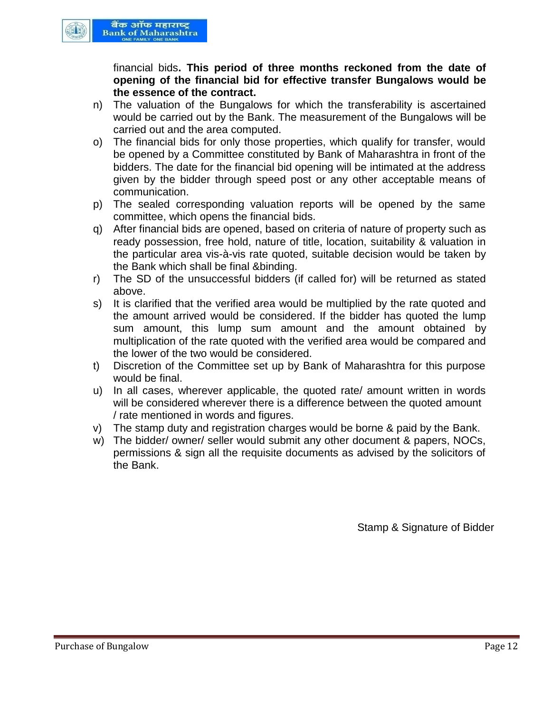

financial bids**. This period of three months reckoned from the date of opening of the financial bid for effective transfer Bungalows would be the essence of the contract.**

- n) The valuation of the Bungalows for which the transferability is ascertained would be carried out by the Bank. The measurement of the Bungalows will be carried out and the area computed.
- o) The financial bids for only those properties, which qualify for transfer, would be opened by a Committee constituted by Bank of Maharashtra in front of the bidders. The date for the financial bid opening will be intimated at the address given by the bidder through speed post or any other acceptable means of communication.
- p) The sealed corresponding valuation reports will be opened by the same committee, which opens the financial bids.
- q) After financial bids are opened, based on criteria of nature of property such as ready possession, free hold, nature of title, location, suitability & valuation in the particular area vis-à-vis rate quoted, suitable decision would be taken by the Bank which shall be final &binding.
- r) The SD of the unsuccessful bidders (if called for) will be returned as stated above.
- s) It is clarified that the verified area would be multiplied by the rate quoted and the amount arrived would be considered. If the bidder has quoted the lump sum amount, this lump sum amount and the amount obtained by multiplication of the rate quoted with the verified area would be compared and the lower of the two would be considered.
- t) Discretion of the Committee set up by Bank of Maharashtra for this purpose would be final.
- u) In all cases, wherever applicable, the quoted rate/ amount written in words will be considered wherever there is a difference between the quoted amount / rate mentioned in words and figures.
- v) The stamp duty and registration charges would be borne & paid by the Bank.
- w) The bidder/ owner/ seller would submit any other document & papers, NOCs, permissions & sign all the requisite documents as advised by the solicitors of the Bank.

Stamp & Signature of Bidder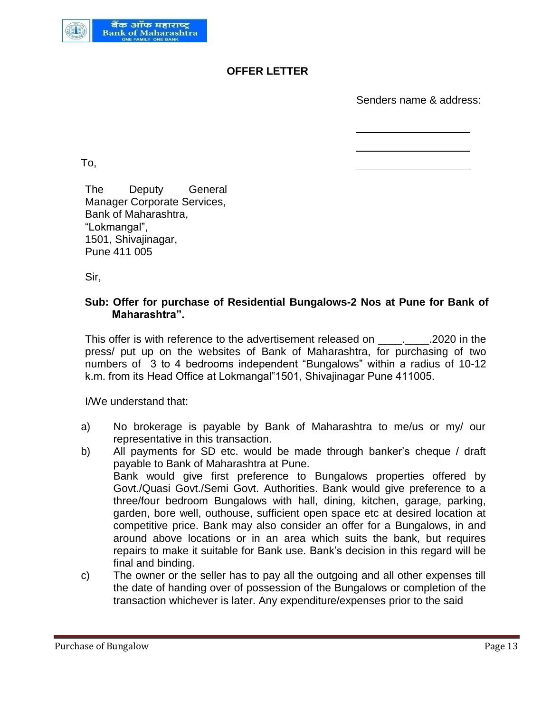

# **OFFER LETTER**

Senders name & address:

To,

The Deputy General Manager Corporate Services, Bank of Maharashtra, "Lokmangal", 1501, Shivajinagar, Pune 411 005

Sir,

## **Sub: Offer for purchase of Residential Bungalows-2 Nos at Pune for Bank of Maharashtra".**

This offer is with reference to the advertisement released on This offer is with reference to the advertisement released on press/ put up on the websites of Bank of Maharashtra, for purchasing of two numbers of 3 to 4 bedrooms independent "Bungalows" within a radius of 10-12 k.m. from its Head Office at Lokmangal"1501, Shivajinagar Pune 411005.

I/We understand that:

- a) No brokerage is payable by Bank of Maharashtra to me/us or my/ our representative in this transaction.
- b) All payments for SD etc. would be made through banker's cheque / draft payable to Bank of Maharashtra at Pune. Bank would give first preference to Bungalows properties offered by Govt./Quasi Govt./Semi Govt. Authorities. Bank would give preference to a three/four bedroom Bungalows with hall, dining, kitchen, garage, parking, garden, bore well, outhouse, sufficient open space etc at desired location at competitive price. Bank may also consider an offer for a Bungalows, in and around above locations or in an area which suits the bank, but requires repairs to make it suitable for Bank use. Bank's decision in this regard will be final and binding.
- c) The owner or the seller has to pay all the outgoing and all other expenses till the date of handing over of possession of the Bungalows or completion of the transaction whichever is later. Any expenditure/expenses prior to the said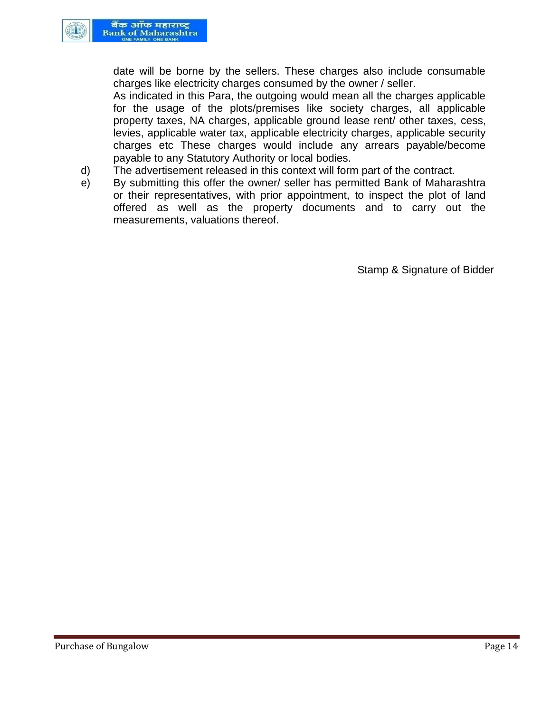

date will be borne by the sellers. These charges also include consumable charges like electricity charges consumed by the owner / seller.

As indicated in this Para, the outgoing would mean all the charges applicable for the usage of the plots/premises like society charges, all applicable property taxes, NA charges, applicable ground lease rent/ other taxes, cess, levies, applicable water tax, applicable electricity charges, applicable security charges etc These charges would include any arrears payable/become payable to any Statutory Authority or local bodies.

- d) The advertisement released in this context will form part of the contract.
- e) By submitting this offer the owner/ seller has permitted Bank of Maharashtra or their representatives, with prior appointment, to inspect the plot of land offered as well as the property documents and to carry out the measurements, valuations thereof.

Stamp & Signature of Bidder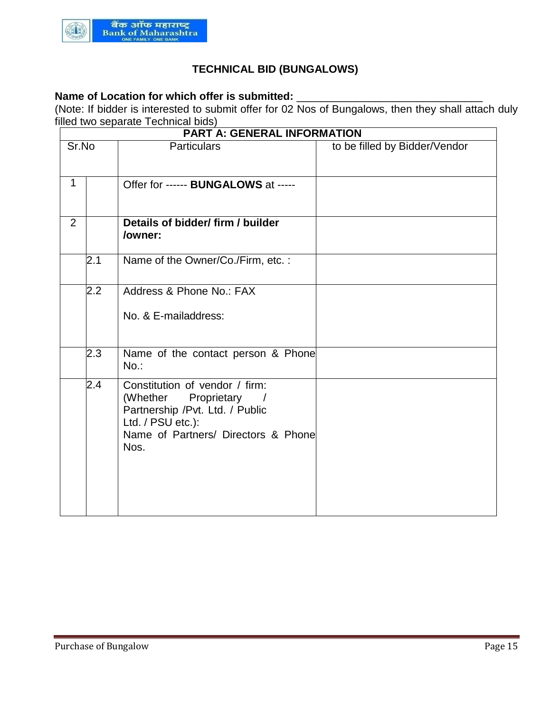

# **TECHNICAL BID (BUNGALOWS)**

# Name of Location for which offer is submitted: \_

(Note: If bidder is interested to submit offer for 02 Nos of Bungalows, then they shall attach duly filled two separate Technical bids)

|              | <b>PART A: GENERAL INFORMATION</b> |                                                                                                                                                                 |                               |  |
|--------------|------------------------------------|-----------------------------------------------------------------------------------------------------------------------------------------------------------------|-------------------------------|--|
| Sr.No        |                                    | <b>Particulars</b>                                                                                                                                              | to be filled by Bidder/Vendor |  |
| $\mathbf{1}$ |                                    | Offer for ------ BUNGALOWS at -----                                                                                                                             |                               |  |
| 2            |                                    | Details of bidder/ firm / builder<br>/owner:                                                                                                                    |                               |  |
|              | 2.1                                | Name of the Owner/Co./Firm, etc.:                                                                                                                               |                               |  |
|              | $2.2\,$                            | Address & Phone No.: FAX<br>No. & E-mailaddress:                                                                                                                |                               |  |
|              | 2.3                                | Name of the contact person & Phone<br>$No.$ :                                                                                                                   |                               |  |
|              | 2.4                                | Constitution of vendor / firm:<br>(Whether Proprietary /<br>Partnership /Pvt. Ltd. / Public<br>Ltd. / PSU etc.):<br>Name of Partners/ Directors & Phone<br>Nos. |                               |  |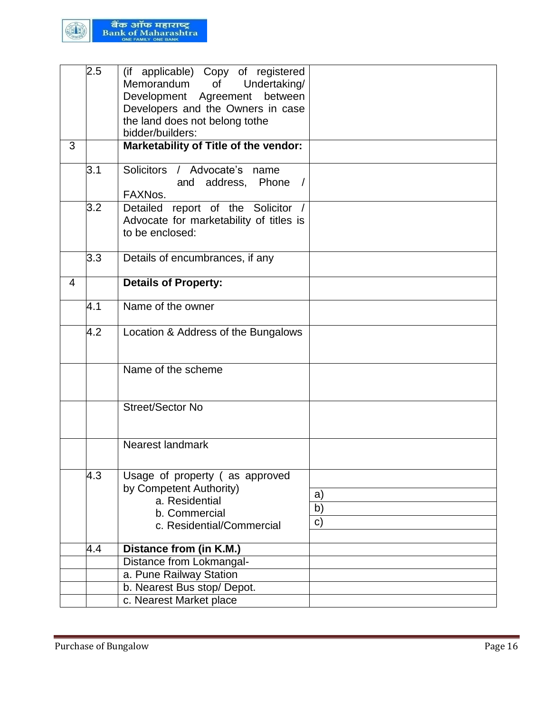

|   | $\overline{2.5}$ | (if applicable) Copy of registered<br>Memorandum<br>Undertaking/<br>of<br>Development Agreement<br>between<br>Developers and the Owners in case<br>the land does not belong tothe<br>bidder/builders: |                |
|---|------------------|-------------------------------------------------------------------------------------------------------------------------------------------------------------------------------------------------------|----------------|
| 3 |                  | Marketability of Title of the vendor:                                                                                                                                                                 |                |
|   | 3.1              | Solicitors / Advocate's name<br>address, Phone /<br>and<br>FAXNos.                                                                                                                                    |                |
|   | 3.2              | Detailed report of the Solicitor /<br>Advocate for marketability of titles is<br>to be enclosed:                                                                                                      |                |
|   | 3.3              | Details of encumbrances, if any                                                                                                                                                                       |                |
| 4 |                  | <b>Details of Property:</b>                                                                                                                                                                           |                |
|   | 4.1              | Name of the owner                                                                                                                                                                                     |                |
|   | 4.2              | Location & Address of the Bungalows                                                                                                                                                                   |                |
|   |                  | Name of the scheme                                                                                                                                                                                    |                |
|   |                  | Street/Sector No                                                                                                                                                                                      |                |
|   |                  | Nearest landmark                                                                                                                                                                                      |                |
|   | 4.3              | Usage of property (as approved<br>by Competent Authority)<br>a. Residential<br>b. Commercial<br>c. Residential/Commercial                                                                             | a)<br>b)<br>c) |
|   | 4.4              | Distance from (in K.M.)                                                                                                                                                                               |                |
|   |                  | Distance from Lokmangal-                                                                                                                                                                              |                |
|   |                  | a. Pune Railway Station                                                                                                                                                                               |                |
|   |                  | b. Nearest Bus stop/ Depot.                                                                                                                                                                           |                |
|   |                  | c. Nearest Market place                                                                                                                                                                               |                |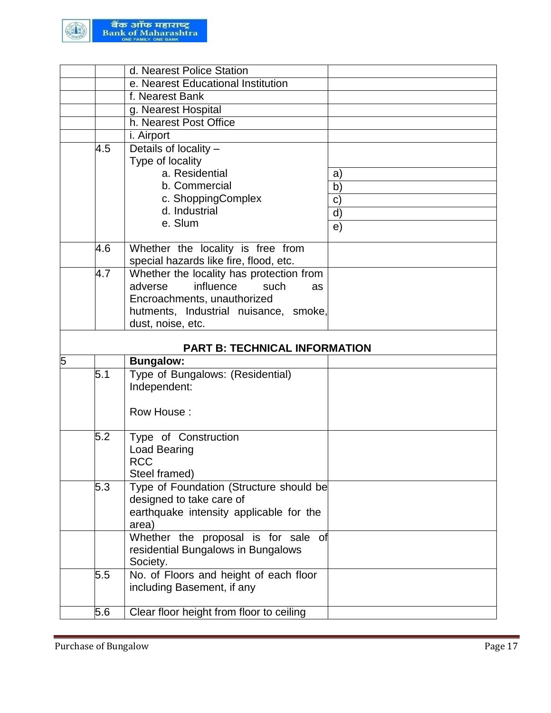

|     | d. Nearest Police Station                |              |
|-----|------------------------------------------|--------------|
|     | e. Nearest Educational Institution       |              |
|     | f. Nearest Bank                          |              |
|     | g. Nearest Hospital                      |              |
|     | h. Nearest Post Office                   |              |
|     | i. Airport                               |              |
| 4.5 | Details of locality -                    |              |
|     | Type of locality                         |              |
|     | a. Residential                           | a)           |
|     | b. Commercial                            | b)           |
|     | c. ShoppingComplex                       | $\mathbf{C}$ |
|     | d. Industrial                            | d)           |
|     | e. Slum                                  | e)           |
|     |                                          |              |
| 4.6 | Whether the locality is free from        |              |
|     | special hazards like fire, flood, etc.   |              |
| 4.7 | Whether the locality has protection from |              |
|     | influence<br>adverse<br>such<br>as       |              |
|     | Encroachments, unauthorized              |              |
|     | hutments, Industrial nuisance, smoke,    |              |
|     | dust, noise, etc.                        |              |
|     | <b>PART B: TECHNICAL INFORMATION</b>     |              |
| 5   | <b>Bungalow:</b>                         |              |
| 5.1 | Type of Bungalows: (Residential)         |              |
|     | Independent:                             |              |
|     |                                          |              |
|     | Row House:                               |              |
|     |                                          |              |
| 5.2 | Type of Construction                     |              |
|     |                                          |              |
|     | <b>Load Bearing</b>                      |              |
|     | <b>RCC</b>                               |              |
|     | Steel framed)                            |              |
| 5.3 | Type of Foundation (Structure should be  |              |
|     | designed to take care of                 |              |
|     | earthquake intensity applicable for the  |              |
|     | area)                                    |              |
|     | Whether the proposal is for sale of      |              |
|     | residential Bungalows in Bungalows       |              |
|     | Society.                                 |              |
| 5.5 | No. of Floors and height of each floor   |              |
|     | including Basement, if any               |              |
| 5.6 | Clear floor height from floor to ceiling |              |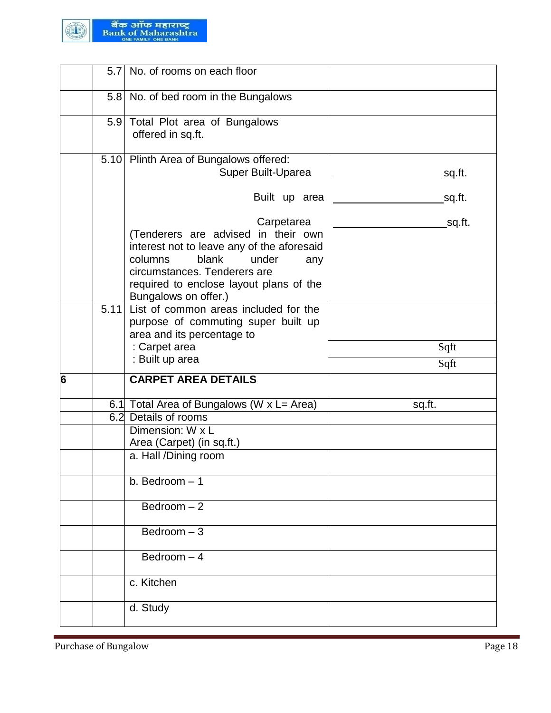

|   |      | 5.7 No. of rooms on each floor                                                                                                                                                                                                         |        |
|---|------|----------------------------------------------------------------------------------------------------------------------------------------------------------------------------------------------------------------------------------------|--------|
|   |      | 5.8 No. of bed room in the Bungalows                                                                                                                                                                                                   |        |
|   |      | 5.9 Total Plot area of Bungalows<br>offered in sq.ft.                                                                                                                                                                                  |        |
|   |      | 5.10 Plinth Area of Bungalows offered:<br>Super Built-Uparea                                                                                                                                                                           | sq.ft. |
|   |      | Built up area                                                                                                                                                                                                                          | sq.ft. |
|   |      | Carpetarea<br>(Tenderers are advised in their own<br>interest not to leave any of the aforesaid<br>columns<br>blank<br>under<br>any<br>circumstances. Tenderers are<br>required to enclose layout plans of the<br>Bungalows on offer.) | sq.ft. |
|   | 5.11 | List of common areas included for the<br>purpose of commuting super built up<br>area and its percentage to<br>: Carpet area                                                                                                            | Sqft   |
|   |      | : Built up area                                                                                                                                                                                                                        | Sqft   |
| 6 |      | <b>CARPET AREA DETAILS</b>                                                                                                                                                                                                             |        |
|   |      | 6.1 Total Area of Bungalows (W x L= Area)                                                                                                                                                                                              | sq.ft. |
|   | 6.2  | Details of rooms                                                                                                                                                                                                                       |        |
|   |      |                                                                                                                                                                                                                                        |        |
|   |      | Dimension: W x L                                                                                                                                                                                                                       |        |
|   |      | Area (Carpet) (in sq.ft.)                                                                                                                                                                                                              |        |
|   |      | a. Hall /Dining room                                                                                                                                                                                                                   |        |
|   |      | b. Bedroom $-1$                                                                                                                                                                                                                        |        |
|   |      | $Bedroom - 2$                                                                                                                                                                                                                          |        |
|   |      | Bedroom $-3$                                                                                                                                                                                                                           |        |
|   |      | Bedroom $-4$                                                                                                                                                                                                                           |        |
|   |      | c. Kitchen                                                                                                                                                                                                                             |        |
|   |      | d. Study                                                                                                                                                                                                                               |        |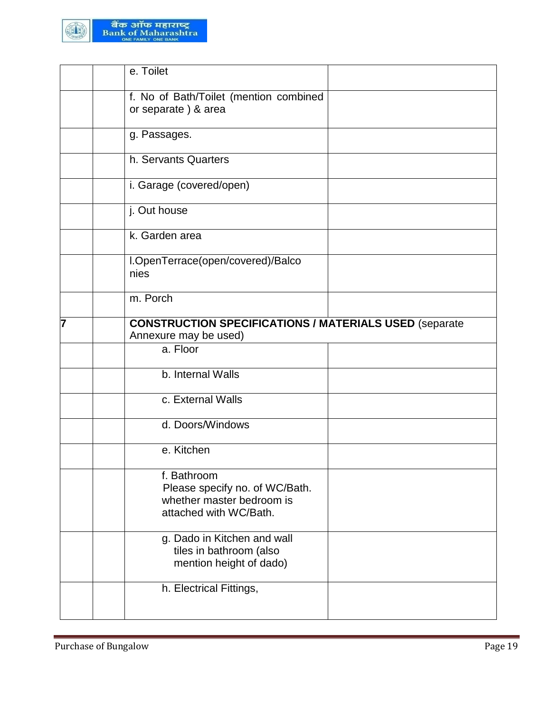

|   | e. Toilet                                                                                            |
|---|------------------------------------------------------------------------------------------------------|
|   | f. No of Bath/Toilet (mention combined<br>or separate) & area                                        |
|   | g. Passages.                                                                                         |
|   | h. Servants Quarters                                                                                 |
|   | i. Garage (covered/open)                                                                             |
|   | j. Out house                                                                                         |
|   | k. Garden area                                                                                       |
|   | I.OpenTerrace(open/covered)/Balco<br>nies                                                            |
|   | m. Porch                                                                                             |
| 7 | <b>CONSTRUCTION SPECIFICATIONS / MATERIALS USED (separate</b><br>Annexure may be used)               |
|   | a. Floor                                                                                             |
|   | b. Internal Walls                                                                                    |
|   | c. External Walls                                                                                    |
|   | d. Doors/Windows                                                                                     |
|   | e. Kitchen                                                                                           |
|   | f. Bathroom<br>Please specify no. of WC/Bath.<br>whether master bedroom is<br>attached with WC/Bath. |
|   | g. Dado in Kitchen and wall<br>tiles in bathroom (also<br>mention height of dado)                    |
|   | h. Electrical Fittings,                                                                              |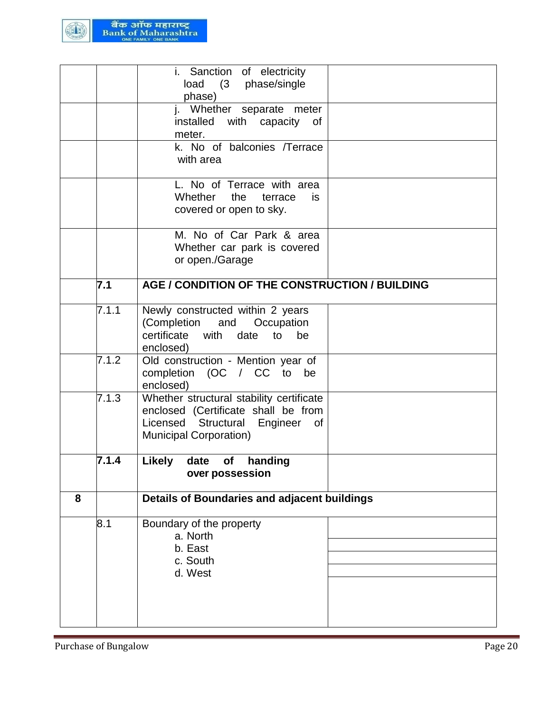

|   |       | i. Sanction of electricity                                                                                                                             |  |
|---|-------|--------------------------------------------------------------------------------------------------------------------------------------------------------|--|
|   |       | (3 phase/single<br>load<br>phase)                                                                                                                      |  |
|   |       | j. Whether separate meter<br>installed with capacity<br>0f<br>meter.                                                                                   |  |
|   |       | k. No of balconies /Terrace<br>with area                                                                                                               |  |
|   |       | L. No of Terrace with area<br>Whether<br>the<br>terrace<br>is.<br>covered or open to sky.                                                              |  |
|   |       | M. No of Car Park & area<br>Whether car park is covered<br>or open./Garage                                                                             |  |
|   | 7.1   | AGE / CONDITION OF THE CONSTRUCTION / BUILDING                                                                                                         |  |
|   | 7.1.1 | Newly constructed within 2 years<br>(Completion<br>and<br>Occupation<br>certificate with date to be<br>enclosed)                                       |  |
|   | 7.1.2 | Old construction - Mention year of<br>completion (OC / CC to be<br>enclosed)                                                                           |  |
|   | 7.1.3 | Whether structural stability certificate<br>enclosed (Certificate shall be from<br>Licensed Structural Engineer<br>of<br><b>Municipal Corporation)</b> |  |
|   | 7.1.4 | <b>Likely</b><br>handing<br>date<br>of<br>over possession                                                                                              |  |
| 8 |       | Details of Boundaries and adjacent buildings                                                                                                           |  |
|   | 8.1   | Boundary of the property<br>a. North<br>b. East<br>c. South<br>d. West                                                                                 |  |
|   |       |                                                                                                                                                        |  |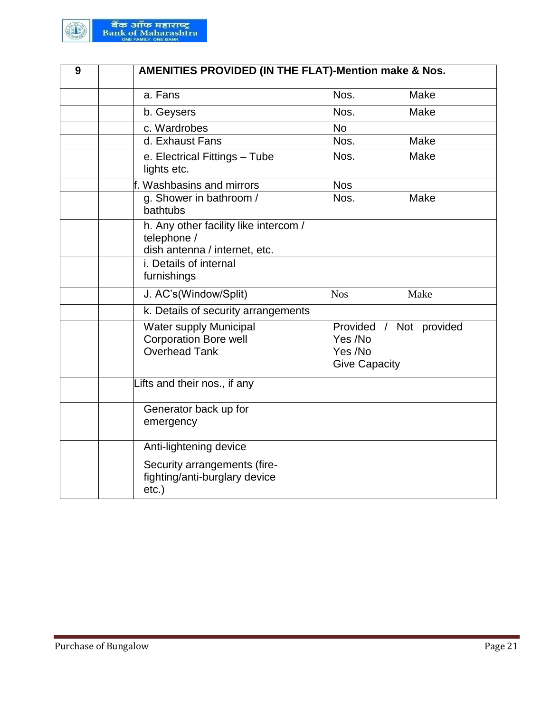

| 9 |                                                                                       | <b>AMENITIES PROVIDED (IN THE FLAT)-Mention make &amp; Nos.</b>       |  |  |  |  |  |
|---|---------------------------------------------------------------------------------------|-----------------------------------------------------------------------|--|--|--|--|--|
|   | a. Fans                                                                               | Nos.<br>Make                                                          |  |  |  |  |  |
|   | b. Geysers                                                                            | Make<br>Nos.                                                          |  |  |  |  |  |
|   | c. Wardrobes                                                                          | <b>No</b>                                                             |  |  |  |  |  |
|   | d. Exhaust Fans                                                                       | Nos.<br>Make                                                          |  |  |  |  |  |
|   | e. Electrical Fittings - Tube<br>lights etc.                                          | Make<br>Nos.                                                          |  |  |  |  |  |
|   | f. Washbasins and mirrors                                                             | <b>Nos</b>                                                            |  |  |  |  |  |
|   | g. Shower in bathroom /<br>bathtubs                                                   | Nos.<br>Make                                                          |  |  |  |  |  |
|   | h. Any other facility like intercom /<br>telephone /<br>dish antenna / internet, etc. |                                                                       |  |  |  |  |  |
|   | i. Details of internal<br>furnishings                                                 |                                                                       |  |  |  |  |  |
|   | J. AC's(Window/Split)                                                                 | <b>Nos</b><br>Make                                                    |  |  |  |  |  |
|   | k. Details of security arrangements                                                   |                                                                       |  |  |  |  |  |
|   | <b>Water supply Municipal</b><br><b>Corporation Bore well</b><br><b>Overhead Tank</b> | Provided / Not provided<br>Yes /No<br>Yes /No<br><b>Give Capacity</b> |  |  |  |  |  |
|   | Lifts and their nos., if any                                                          |                                                                       |  |  |  |  |  |
|   | Generator back up for<br>emergency                                                    |                                                                       |  |  |  |  |  |
|   | Anti-lightening device                                                                |                                                                       |  |  |  |  |  |
|   | Security arrangements (fire-<br>fighting/anti-burglary device<br>etc.)                |                                                                       |  |  |  |  |  |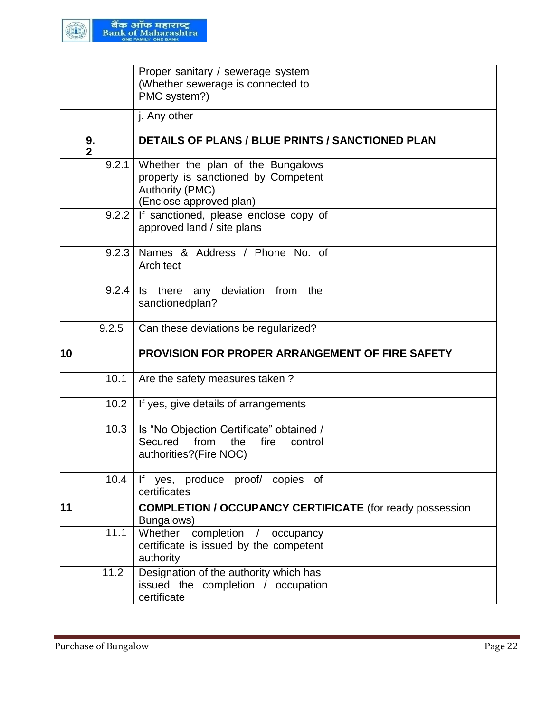

|                      |       | Proper sanitary / sewerage system<br>(Whether sewerage is connected to<br>PMC system?)                                        |
|----------------------|-------|-------------------------------------------------------------------------------------------------------------------------------|
|                      |       | j. Any other                                                                                                                  |
| 9.<br>$\overline{2}$ |       | <b>DETAILS OF PLANS / BLUE PRINTS / SANCTIONED PLAN</b>                                                                       |
|                      | 9.2.1 | Whether the plan of the Bungalows<br>property is sanctioned by Competent<br><b>Authority (PMC)</b><br>(Enclose approved plan) |
|                      |       | 9.2.2 If sanctioned, please enclose copy of<br>approved land / site plans                                                     |
|                      | 9.2.3 | Names & Address / Phone No. of<br>Architect                                                                                   |
|                      | 9.2.4 | deviation from<br>there any<br>ls.<br>the<br>sanctionedplan?                                                                  |
|                      | 9.2.5 | Can these deviations be regularized?                                                                                          |
| 10                   |       | <b>PROVISION FOR PROPER ARRANGEMENT OF FIRE SAFETY</b>                                                                        |
|                      | 10.1  | Are the safety measures taken?                                                                                                |
|                      | 10.2  | If yes, give details of arrangements                                                                                          |
|                      | 10.3  | Is "No Objection Certificate" obtained /<br>Secured from<br>the<br>fire<br>control<br>authorities?(Fire NOC)                  |
|                      | 10.4  | If yes, produce proof/ copies of<br>certificates                                                                              |
| 11                   |       | <b>COMPLETION / OCCUPANCY CERTIFICATE (for ready possession</b><br>Bungalows)                                                 |
|                      | 11.1  | Whether<br>completion<br>/ occupancy<br>certificate is issued by the competent<br>authority                                   |
|                      | 11.2  | Designation of the authority which has<br>issued the completion / occupation<br>certificate                                   |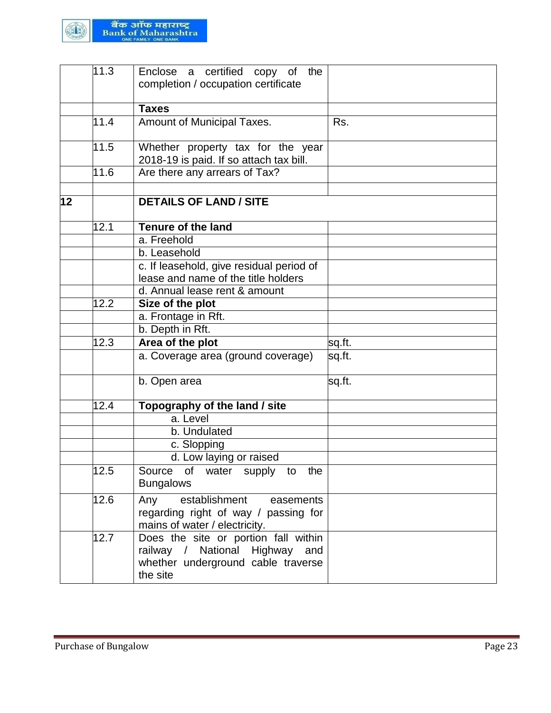

|    | 11.3              | Enclose a certified copy of the<br>completion / occupation certificate                                                   |        |
|----|-------------------|--------------------------------------------------------------------------------------------------------------------------|--------|
|    |                   | <b>Taxes</b>                                                                                                             |        |
|    | 11.4              | Amount of Municipal Taxes.                                                                                               | Rs.    |
|    | 11.5              | Whether property tax for the year<br>2018-19 is paid. If so attach tax bill.                                             |        |
|    | 11.6              | Are there any arrears of Tax?                                                                                            |        |
| 12 |                   | <b>DETAILS OF LAND / SITE</b>                                                                                            |        |
|    | 12.1              | <b>Tenure of the land</b>                                                                                                |        |
|    |                   | a. Freehold                                                                                                              |        |
|    |                   | b. Leasehold                                                                                                             |        |
|    |                   | c. If leasehold, give residual period of                                                                                 |        |
|    |                   | lease and name of the title holders                                                                                      |        |
|    |                   | d. Annual lease rent & amount                                                                                            |        |
|    | $\overline{12.2}$ | Size of the plot                                                                                                         |        |
|    |                   | a. Frontage in Rft.                                                                                                      |        |
|    |                   | b. Depth in Rft.                                                                                                         |        |
|    | 12.3              | Area of the plot                                                                                                         | sq.ft. |
|    |                   | a. Coverage area (ground coverage)                                                                                       | sq.ft. |
|    |                   | b. Open area                                                                                                             | sq.ft. |
|    | 12.4              | Topography of the land / site                                                                                            |        |
|    |                   | a. Level                                                                                                                 |        |
|    |                   | b. Undulated                                                                                                             |        |
|    |                   | c. Slopping                                                                                                              |        |
|    |                   | d. Low laying or raised                                                                                                  |        |
|    | 12.5              | Source of water supply to the<br><b>Bungalows</b>                                                                        |        |
|    | 12.6              | Any<br>establishment<br>easements<br>regarding right of way / passing for<br>mains of water / electricity.               |        |
|    | 12.7              | Does the site or portion fall within<br>railway / National Highway and<br>whether underground cable traverse<br>the site |        |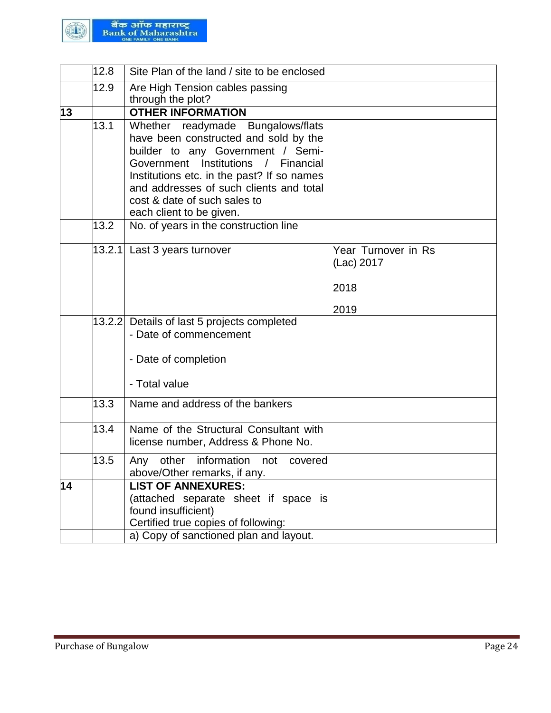

|    | 12.8 | Site Plan of the land / site to be enclosed                                   |                     |
|----|------|-------------------------------------------------------------------------------|---------------------|
|    | 12.9 | Are High Tension cables passing                                               |                     |
|    |      | through the plot?                                                             |                     |
| 13 |      | <b>OTHER INFORMATION</b>                                                      |                     |
|    | 13.1 | Whether readymade Bungalows/flats                                             |                     |
|    |      | have been constructed and sold by the                                         |                     |
|    |      | builder to any Government / Semi-<br>Government Institutions / Financial      |                     |
|    |      | Institutions etc. in the past? If so names                                    |                     |
|    |      | and addresses of such clients and total                                       |                     |
|    |      | cost & date of such sales to                                                  |                     |
|    |      | each client to be given.                                                      |                     |
|    | 13.2 | No. of years in the construction line                                         |                     |
|    |      | 13.2.1 Last 3 years turnover                                                  | Year Turnover in Rs |
|    |      |                                                                               | (Lac) 2017          |
|    |      |                                                                               |                     |
|    |      |                                                                               | 2018                |
|    |      |                                                                               | 2019                |
|    |      | 13.2.2 Details of last 5 projects completed                                   |                     |
|    |      | - Date of commencement                                                        |                     |
|    |      |                                                                               |                     |
|    |      | - Date of completion                                                          |                     |
|    |      |                                                                               |                     |
|    |      | - Total value                                                                 |                     |
|    | 13.3 | Name and address of the bankers                                               |                     |
|    |      |                                                                               |                     |
|    | 13.4 | Name of the Structural Consultant with<br>license number, Address & Phone No. |                     |
|    |      |                                                                               |                     |
|    | 13.5 | other<br>information<br>Any<br>not<br>covered                                 |                     |
| 14 |      | above/Other remarks, if any.<br><b>LIST OF ANNEXURES:</b>                     |                     |
|    |      | (attached separate sheet if space is                                          |                     |
|    |      | found insufficient)                                                           |                     |
|    |      | Certified true copies of following:                                           |                     |
|    |      | a) Copy of sanctioned plan and layout.                                        |                     |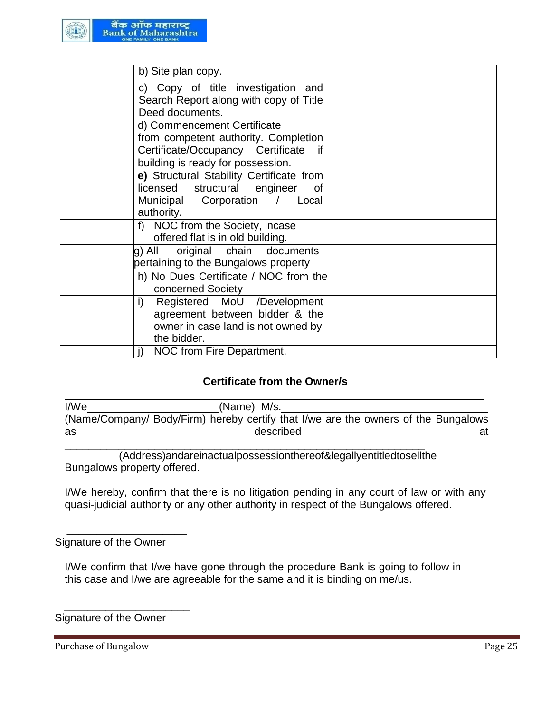

| b) Site plan copy.                                                                                                                                  |  |
|-----------------------------------------------------------------------------------------------------------------------------------------------------|--|
| c) Copy of title investigation and<br>Search Report along with copy of Title<br>Deed documents.                                                     |  |
| d) Commencement Certificate<br>from competent authority. Completion<br>Certificate/Occupancy Certificate<br>if<br>building is ready for possession. |  |
| e) Structural Stability Certificate from<br>licensed structural engineer<br>of<br>Municipal Corporation / Local<br>authority.                       |  |
| f) NOC from the Society, incase<br>offered flat is in old building.                                                                                 |  |
| original chain documents<br>g) All<br>pertaining to the Bungalows property                                                                          |  |
| h) No Dues Certificate / NOC from the<br>concerned Society                                                                                          |  |
| i)<br>Registered MoU /Development<br>agreement between bidder & the<br>owner in case land is not owned by<br>the bidder.                            |  |
| NOC from Fire Department.                                                                                                                           |  |

#### **Certificate from the Owner/s**

I/We\_\_\_\_\_\_\_\_\_\_\_\_\_\_\_\_\_\_\_\_\_\_\_\_\_\_\_\_\_(Name) M/s. (Name/Company/ Body/Firm) hereby certify that I/we are the owners of the Bungalows as described at

\_\_\_\_\_\_\_\_\_\_\_\_\_\_\_\_\_\_\_\_\_\_\_\_\_\_\_\_\_\_\_\_\_\_\_\_\_\_\_\_\_\_\_\_\_\_\_\_\_\_\_\_\_\_\_\_\_\_\_\_ (Address)andareinactualpossessionthereof&legallyentitledtosellthe Bungalows property offered.

I/We hereby, confirm that there is no litigation pending in any court of law or with any quasi-judicial authority or any other authority in respect of the Bungalows offered.

#### Signature of the Owner

 $\overline{\phantom{a}}$  , which is the set of the set of the set of the set of the set of the set of the set of the set of the set of the set of the set of the set of the set of the set of the set of the set of the set of the set of

I/We confirm that I/we have gone through the procedure Bank is going to follow in this case and I/we are agreeable for the same and it is binding on me/us.

# Signature of the Owner

 $\overline{\phantom{a}}$  ,  $\overline{\phantom{a}}$  ,  $\overline{\phantom{a}}$  ,  $\overline{\phantom{a}}$  ,  $\overline{\phantom{a}}$  ,  $\overline{\phantom{a}}$  ,  $\overline{\phantom{a}}$  ,  $\overline{\phantom{a}}$  ,  $\overline{\phantom{a}}$  ,  $\overline{\phantom{a}}$  ,  $\overline{\phantom{a}}$  ,  $\overline{\phantom{a}}$  ,  $\overline{\phantom{a}}$  ,  $\overline{\phantom{a}}$  ,  $\overline{\phantom{a}}$  ,  $\overline{\phantom{a}}$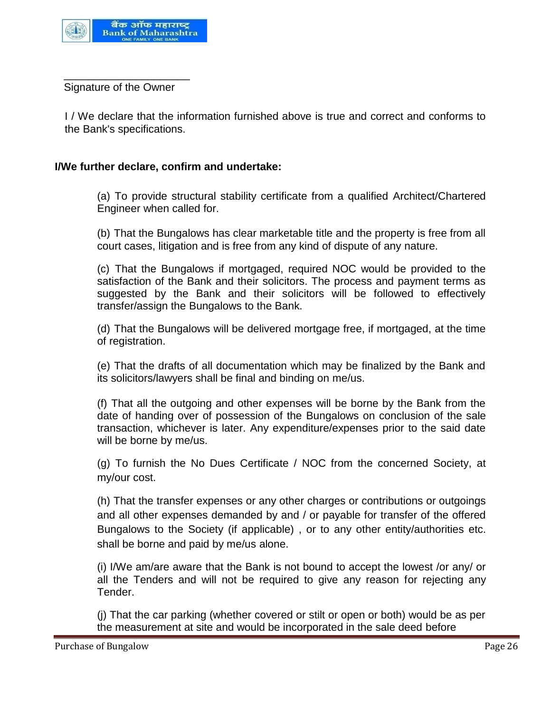

 $\overline{\phantom{a}}$  , which is the set of the set of the set of the set of the set of the set of the set of the set of the set of the set of the set of the set of the set of the set of the set of the set of the set of the set of Signature of the Owner

I / We declare that the information furnished above is true and correct and conforms to the Bank's specifications.

#### **I/We further declare, confirm and undertake:**

(a) To provide structural stability certificate from a qualified Architect/Chartered Engineer when called for.

(b) That the Bungalows has clear marketable title and the property is free from all court cases, litigation and is free from any kind of dispute of any nature.

(c) That the Bungalows if mortgaged, required NOC would be provided to the satisfaction of the Bank and their solicitors. The process and payment terms as suggested by the Bank and their solicitors will be followed to effectively transfer/assign the Bungalows to the Bank.

(d) That the Bungalows will be delivered mortgage free, if mortgaged, at the time of registration.

(e) That the drafts of all documentation which may be finalized by the Bank and its solicitors/lawyers shall be final and binding on me/us.

(f) That all the outgoing and other expenses will be borne by the Bank from the date of handing over of possession of the Bungalows on conclusion of the sale transaction, whichever is later. Any expenditure/expenses prior to the said date will be borne by me/us.

(g) To furnish the No Dues Certificate / NOC from the concerned Society, at my/our cost.

(h) That the transfer expenses or any other charges or contributions or outgoings and all other expenses demanded by and / or payable for transfer of the offered Bungalows to the Society (if applicable) , or to any other entity/authorities etc. shall be borne and paid by me/us alone.

(i) I/We am/are aware that the Bank is not bound to accept the lowest /or any/ or all the Tenders and will not be required to give any reason for rejecting any Tender.

(j) That the car parking (whether covered or stilt or open or both) would be as per the measurement at site and would be incorporated in the sale deed before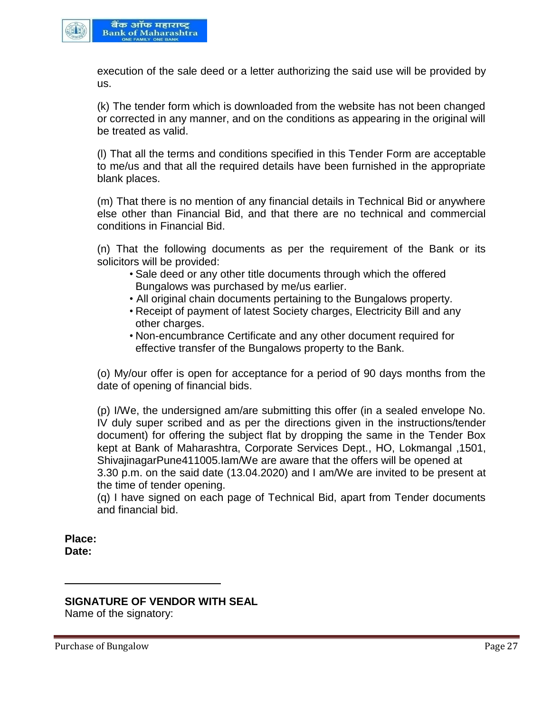

execution of the sale deed or a letter authorizing the said use will be provided by us.

(k) The tender form which is downloaded from the website has not been changed or corrected in any manner, and on the conditions as appearing in the original will be treated as valid.

(l) That all the terms and conditions specified in this Tender Form are acceptable to me/us and that all the required details have been furnished in the appropriate blank places.

(m) That there is no mention of any financial details in Technical Bid or anywhere else other than Financial Bid, and that there are no technical and commercial conditions in Financial Bid.

(n) That the following documents as per the requirement of the Bank or its solicitors will be provided:

- Sale deed or any other title documents through which the offered Bungalows was purchased by me/us earlier.
- All original chain documents pertaining to the Bungalows property.
- Receipt of payment of latest Society charges, Electricity Bill and any other charges.
- Non-encumbrance Certificate and any other document required for effective transfer of the Bungalows property to the Bank.

(o) My/our offer is open for acceptance for a period of 90 days months from the date of opening of financial bids.

(p) I/We, the undersigned am/are submitting this offer (in a sealed envelope No. IV duly super scribed and as per the directions given in the instructions/tender document) for offering the subject flat by dropping the same in the Tender Box kept at Bank of Maharashtra, Corporate Services Dept., HO, Lokmangal ,1501, ShivajinagarPune411005.Iam/We are aware that the offers will be opened at 3.30 p.m. on the said date (13.04.2020) and I am/We are invited to be present at the time of tender opening.

(q) I have signed on each page of Technical Bid, apart from Tender documents and financial bid.

**Place: Date:**

# **SIGNATURE OF VENDOR WITH SEAL**

Name of the signatory: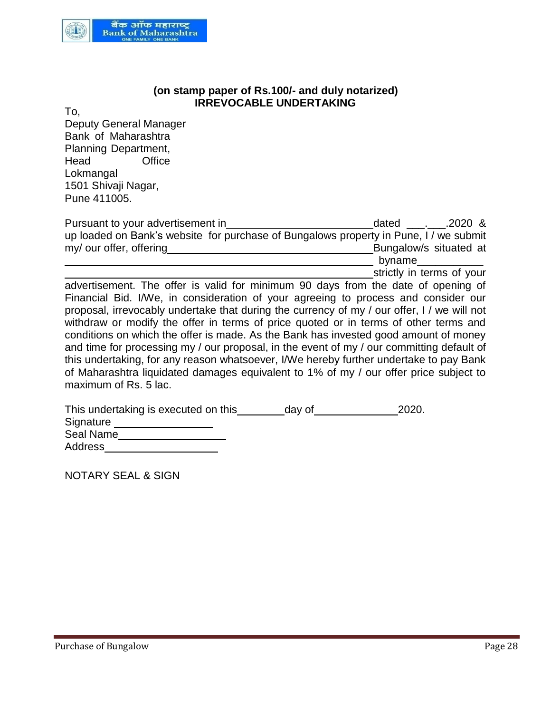

#### **(on stamp paper of Rs.100/- and duly notarized) IRREVOCABLE UNDERTAKING**

To,

Deputy General Manager Bank of Maharashtra Planning Department, Head Office Lokmangal 1501 Shivaji Nagar, Pune 411005.

| Pursuant to your advertisement in                                                     | .2020 &<br>dated       |
|---------------------------------------------------------------------------------------|------------------------|
| up loaded on Bank's website for purchase of Bungalows property in Pune, I / we submit |                        |
| my/ our offer, offering                                                               | Bungalow/s situated at |
|                                                                                       | byname                 |

strictly in terms of your

advertisement. The offer is valid for minimum 90 days from the date of opening of Financial Bid. I/We, in consideration of your agreeing to process and consider our proposal, irrevocably undertake that during the currency of my / our offer, I / we will not withdraw or modify the offer in terms of price quoted or in terms of other terms and conditions on which the offer is made. As the Bank has invested good amount of money and time for processing my / our proposal, in the event of my / our committing default of this undertaking, for any reason whatsoever, I/We hereby further undertake to pay Bank of Maharashtra liquidated damages equivalent to 1% of my / our offer price subject to maximum of Rs. 5 lac.

| This undertaking is executed on this | day of | 2020. |
|--------------------------------------|--------|-------|
| Signature                            |        |       |
| Seal Name                            |        |       |
| Address                              |        |       |

NOTARY SEAL & SIGN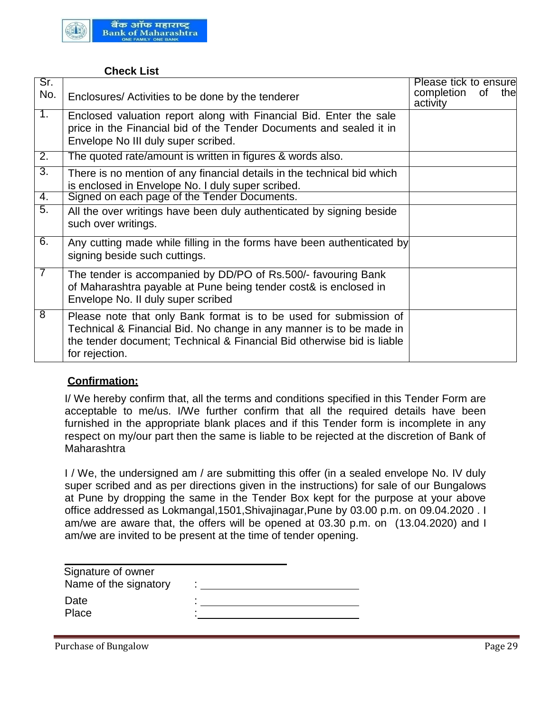

#### **Check List**

| Sr.<br>No.       | Enclosures/ Activities to be done by the tenderer                                                                                                                                                                                    | Please tick to ensure<br>completion<br>activity | Οf | the |
|------------------|--------------------------------------------------------------------------------------------------------------------------------------------------------------------------------------------------------------------------------------|-------------------------------------------------|----|-----|
| 1.               | Enclosed valuation report along with Financial Bid. Enter the sale<br>price in the Financial bid of the Tender Documents and sealed it in<br>Envelope No III duly super scribed.                                                     |                                                 |    |     |
| $\overline{2}$ . | The quoted rate/amount is written in figures & words also.                                                                                                                                                                           |                                                 |    |     |
| $\overline{3}$ . | There is no mention of any financial details in the technical bid which<br>is enclosed in Envelope No. I duly super scribed.                                                                                                         |                                                 |    |     |
| 4.               | Signed on each page of the Tender Documents.                                                                                                                                                                                         |                                                 |    |     |
| $\overline{5}$ . | All the over writings have been duly authenticated by signing beside<br>such over writings.                                                                                                                                          |                                                 |    |     |
| 6.               | Any cutting made while filling in the forms have been authenticated by<br>signing beside such cuttings.                                                                                                                              |                                                 |    |     |
| $\overline{7}$   | The tender is accompanied by DD/PO of Rs.500/- favouring Bank<br>of Maharashtra payable at Pune being tender cost& is enclosed in<br>Envelope No. II duly super scribed                                                              |                                                 |    |     |
| 8                | Please note that only Bank format is to be used for submission of<br>Technical & Financial Bid. No change in any manner is to be made in<br>the tender document; Technical & Financial Bid otherwise bid is liable<br>for rejection. |                                                 |    |     |

# **Confirmation:**

I/ We hereby confirm that, all the terms and conditions specified in this Tender Form are acceptable to me/us. I/We further confirm that all the required details have been furnished in the appropriate blank places and if this Tender form is incomplete in any respect on my/our part then the same is liable to be rejected at the discretion of Bank of Maharashtra

I / We, the undersigned am / are submitting this offer (in a sealed envelope No. IV duly super scribed and as per directions given in the instructions) for sale of our Bungalows at Pune by dropping the same in the Tender Box kept for the purpose at your above office addressed as Lokmangal,1501,Shivajinagar,Pune by 03.00 p.m. on 09.04.2020 . I am/we are aware that, the offers will be opened at 03.30 p.m. on (13.04.2020) and I am/we are invited to be present at the time of tender opening.

| Signature of owner<br>Name of the signatory | ٠<br>$\blacksquare$ |
|---------------------------------------------|---------------------|
| Date                                        | $\blacksquare$      |
| Place                                       | ٠                   |
|                                             |                     |

Purchase of Bungalow **Page 29**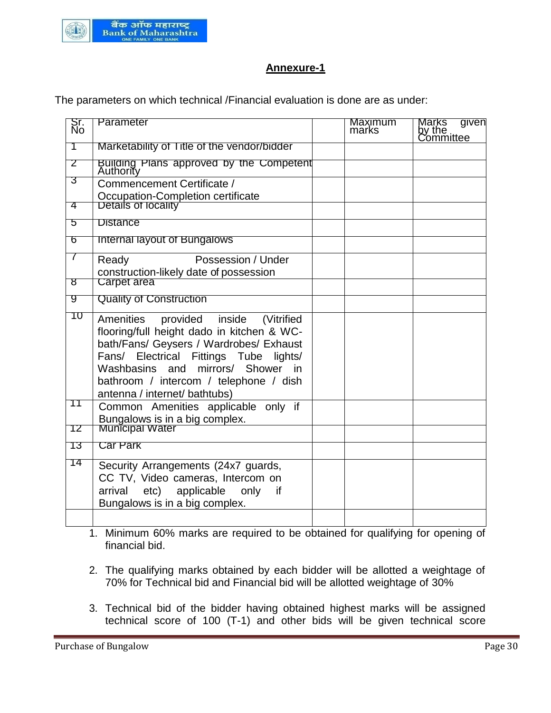

#### **Annexure-1**

The parameters on which technical /Financial evaluation is done are as under:

| Sr.<br>No | Parameter                                                                                                                                                                                                                                                                                        | <b>Maximum</b><br>marks | given<br>Marks<br>by the<br>Committee |
|-----------|--------------------------------------------------------------------------------------------------------------------------------------------------------------------------------------------------------------------------------------------------------------------------------------------------|-------------------------|---------------------------------------|
| 7         | Marketability of Title of the vendor/bidder                                                                                                                                                                                                                                                      |                         |                                       |
| 2         | Building Plans approved by the Competent                                                                                                                                                                                                                                                         |                         |                                       |
| 3         | Commencement Certificate /                                                                                                                                                                                                                                                                       |                         |                                       |
| 4         | Occupation-Completion certificate<br>Details of locality                                                                                                                                                                                                                                         |                         |                                       |
|           |                                                                                                                                                                                                                                                                                                  |                         |                                       |
| 5         | <b>Distance</b>                                                                                                                                                                                                                                                                                  |                         |                                       |
| 6         | Internal layout of Bungalows                                                                                                                                                                                                                                                                     |                         |                                       |
| 7         | Possession / Under<br>Ready                                                                                                                                                                                                                                                                      |                         |                                       |
|           | construction-likely date of possession                                                                                                                                                                                                                                                           |                         |                                       |
| ष्ठ       | <b>Carpet area</b>                                                                                                                                                                                                                                                                               |                         |                                       |
| g         | <b>Quality of Construction</b>                                                                                                                                                                                                                                                                   |                         |                                       |
| 10        | Amenities<br>provided inside (Vitrified<br>flooring/full height dado in kitchen & WC-<br>bath/Fans/ Geysers / Wardrobes/ Exhaust<br>Electrical Fittings Tube<br>lights/<br>Fans/<br>Washbasins and mirrors/ Shower in<br>bathroom / intercom / telephone / dish<br>antenna / internet/ bathtubs) |                         |                                       |
| 11        | Common Amenities applicable only if<br>Bungalows is in a big complex.<br>Municipal Water                                                                                                                                                                                                         |                         |                                       |
| 12        |                                                                                                                                                                                                                                                                                                  |                         |                                       |
| 13        | Car Park                                                                                                                                                                                                                                                                                         |                         |                                       |
| 14        | Security Arrangements (24x7 guards,<br>CC TV, Video cameras, Intercom on<br>arrival etc) applicable only if<br>Bungalows is in a big complex.                                                                                                                                                    |                         |                                       |

1. Minimum 60% marks are required to be obtained for qualifying for opening of financial bid.

- 2. The qualifying marks obtained by each bidder will be allotted a weightage of 70% for Technical bid and Financial bid will be allotted weightage of 30%
- 3. Technical bid of the bidder having obtained highest marks will be assigned technical score of 100 (T-1) and other bids will be given technical score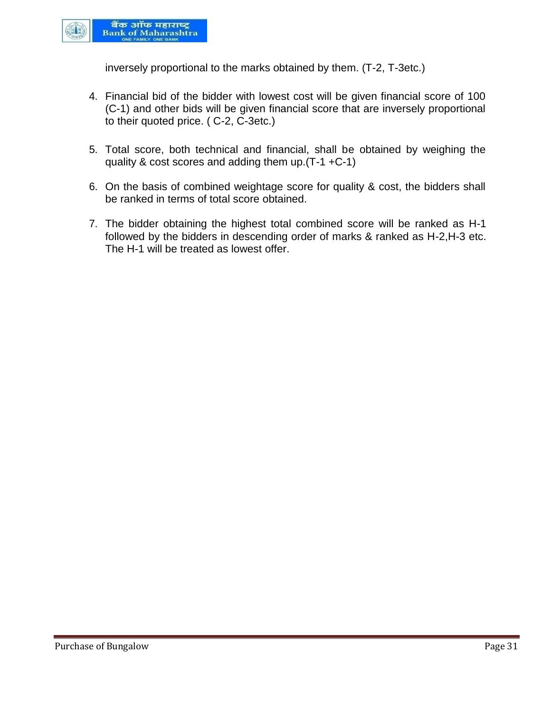

inversely proportional to the marks obtained by them. (T-2, T-3etc.)

- 4. Financial bid of the bidder with lowest cost will be given financial score of 100 (C-1) and other bids will be given financial score that are inversely proportional to their quoted price. ( C-2, C-3etc.)
- 5. Total score, both technical and financial, shall be obtained by weighing the quality & cost scores and adding them up.(T-1 +C-1)
- 6. On the basis of combined weightage score for quality & cost, the bidders shall be ranked in terms of total score obtained.
- 7. The bidder obtaining the highest total combined score will be ranked as H-1 followed by the bidders in descending order of marks & ranked as H-2,H-3 etc. The H-1 will be treated as lowest offer.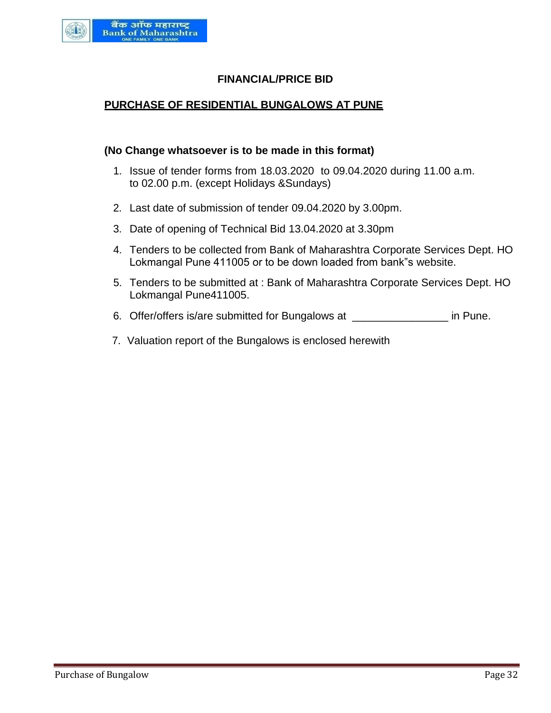

## **FINANCIAL/PRICE BID**

#### **PURCHASE OF RESIDENTIAL BUNGALOWS AT PUNE**

#### **(No Change whatsoever is to be made in this format)**

- 1. Issue of tender forms from 18.03.2020 to 09.04.2020 during 11.00 a.m. to 02.00 p.m. (except Holidays &Sundays)
- 2. Last date of submission of tender 09.04.2020 by 3.00pm.
- 3. Date of opening of Technical Bid 13.04.2020 at 3.30pm
- 4. Tenders to be collected from Bank of Maharashtra Corporate Services Dept. HO Lokmangal Pune 411005 or to be down loaded from bank"s website.
- 5. Tenders to be submitted at : Bank of Maharashtra Corporate Services Dept. HO Lokmangal Pune411005.
- 6. Offer/offers is/are submitted for Bungalows at \_\_\_\_\_\_\_\_\_\_\_\_\_\_\_\_ in Pune.
- 7. Valuation report of the Bungalows is enclosed herewith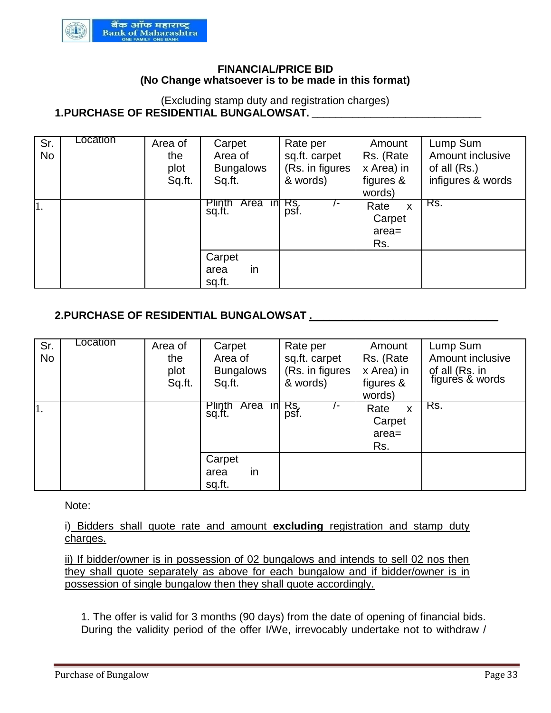

#### **FINANCIAL/PRICE BID (No Change whatsoever is to be made in this format)**

#### (Excluding stamp duty and registration charges) **1.PURCHASE OF RESIDENTIAL BUNGALOWSAT.**

| Sr.<br><b>No</b> | Location | Area of<br>the<br>plot<br>Sq.ft. | Carpet<br>Area of<br><b>Bungalows</b><br>Sq.ft. | Rate per<br>sq.ft. carpet<br>(Rs. in figures<br>& words) | Amount<br>Rs. (Rate<br>x Area) in<br>figures &<br>words) | Lump Sum<br>Amount inclusive<br>of all $(Rs.)$<br>infigures & words |
|------------------|----------|----------------------------------|-------------------------------------------------|----------------------------------------------------------|----------------------------------------------------------|---------------------------------------------------------------------|
| 1.               |          |                                  | Area in Rs.<br>Plinth<br>sq.ft.                 | psf.                                                     | Rate<br>X<br>Carpet<br>$area=$<br>Rs.                    | Rs.                                                                 |
|                  |          |                                  | Carpet<br>in<br>area<br>sq.ft.                  |                                                          |                                                          |                                                                     |

# **2.PURCHASE OF RESIDENTIAL BUNGALOWSAT .\_\_\_\_\_\_\_\_\_\_\_\_\_\_\_\_\_\_\_\_\_\_\_\_\_\_\_\_\_\_\_\_**

| Sr.<br><b>No</b> | Location | Area of<br>the<br>plot<br>Sq.ft. | Carpet<br>Area of<br><b>Bungalows</b><br>Sq.ft. | Rate per<br>sq.ft. carpet<br>(Rs. in figures<br>& words) | Amount<br>Rs. (Rate<br>x Area) in<br>figures &<br>words) | Lump Sum<br>Amount inclusive<br>of all (Rs. in<br>figures & words |
|------------------|----------|----------------------------------|-------------------------------------------------|----------------------------------------------------------|----------------------------------------------------------|-------------------------------------------------------------------|
| 1.               |          |                                  | <b>Plinth</b><br>Area<br>sq.ft.                 | $\overline{m}$ Rs.<br>psf.                               | Rate<br>$\mathsf{x}$<br>Carpet<br>$area =$<br>Rs.        | Rs.                                                               |
|                  |          |                                  | Carpet<br>in<br>area<br>sq.ft.                  |                                                          |                                                          |                                                                   |

Note:

i) Bidders shall quote rate and amount **excluding** registration and stamp duty charges.

ii) If bidder/owner is in possession of 02 bungalows and intends to sell 02 nos then they shall quote separately as above for each bungalow and if bidder/owner is in possession of single bungalow then they shall quote accordingly.

1. The offer is valid for 3 months (90 days) from the date of opening of financial bids. During the validity period of the offer I/We, irrevocably undertake not to withdraw /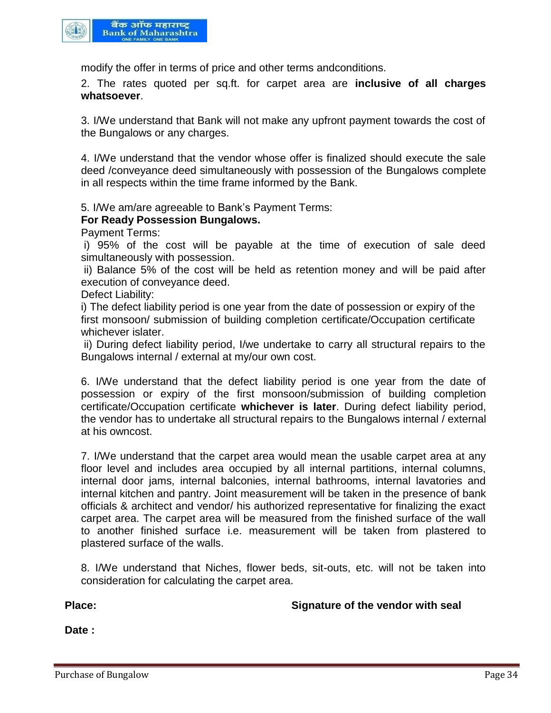

modify the offer in terms of price and other terms andconditions.

2. The rates quoted per sq.ft. for carpet area are **inclusive of all charges whatsoever**.

3. I/We understand that Bank will not make any upfront payment towards the cost of the Bungalows or any charges.

4. I/We understand that the vendor whose offer is finalized should execute the sale deed /conveyance deed simultaneously with possession of the Bungalows complete in all respects within the time frame informed by the Bank.

5. I/We am/are agreeable to Bank's Payment Terms:

#### **For Ready Possession Bungalows.**

Payment Terms:

i) 95% of the cost will be payable at the time of execution of sale deed simultaneously with possession.

ii) Balance 5% of the cost will be held as retention money and will be paid after execution of conveyance deed.

Defect Liability:

i) The defect liability period is one year from the date of possession or expiry of the first monsoon/ submission of building completion certificate/Occupation certificate whichever islater.

ii) During defect liability period, I/we undertake to carry all structural repairs to the Bungalows internal / external at my/our own cost.

6. I/We understand that the defect liability period is one year from the date of possession or expiry of the first monsoon/submission of building completion certificate/Occupation certificate **whichever is later**. During defect liability period, the vendor has to undertake all structural repairs to the Bungalows internal / external at his owncost.

7. I/We understand that the carpet area would mean the usable carpet area at any floor level and includes area occupied by all internal partitions, internal columns, internal door jams, internal balconies, internal bathrooms, internal lavatories and internal kitchen and pantry. Joint measurement will be taken in the presence of bank officials & architect and vendor/ his authorized representative for finalizing the exact carpet area. The carpet area will be measured from the finished surface of the wall to another finished surface i.e. measurement will be taken from plastered to plastered surface of the walls.

8. I/We understand that Niches, flower beds, sit-outs, etc. will not be taken into consideration for calculating the carpet area.

**Place: Signature of the vendor with seal** 

**Date :**